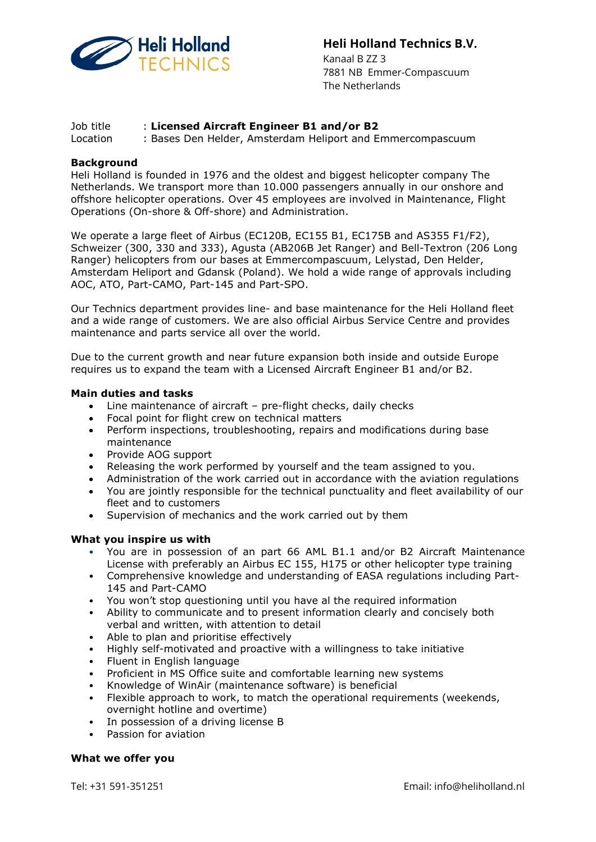

# Heli Holland Technics B.V.

 Kanaal B ZZ 3 7881 NB Emmer-Compascuum The Netherlands

## Job title : Licensed Aircraft Engineer B1 and/or B2

Location : Bases Den Helder, Amsterdam Heliport and Emmercompascuum

#### **Background**

Heli Holland is founded in 1976 and the oldest and biggest helicopter company The Netherlands. We transport more than 10.000 passengers annually in our onshore and offshore helicopter operations. Over 45 employees are involved in Maintenance, Flight Operations (On-shore & Off-shore) and Administration.

We operate a large fleet of Airbus (EC120B, EC155 B1, EC175B and AS355 F1/F2), Schweizer (300, 330 and 333), Agusta (AB206B Jet Ranger) and Bell-Textron (206 Long Ranger) helicopters from our bases at Emmercompascuum, Lelystad, Den Helder, Amsterdam Heliport and Gdansk (Poland). We hold a wide range of approvals including AOC, ATO, Part-CAMO, Part-145 and Part-SPO.

Our Technics department provides line- and base maintenance for the Heli Holland fleet and a wide range of customers. We are also official Airbus Service Centre and provides maintenance and parts service all over the world.

Due to the current growth and near future expansion both inside and outside Europe requires us to expand the team with a Licensed Aircraft Engineer B1 and/or B2.

#### Main duties and tasks

- Line maintenance of aircraft pre-flight checks, daily checks
- Focal point for flight crew on technical matters
- Perform inspections, troubleshooting, repairs and modifications during base maintenance
- Provide AOG support
- Releasing the work performed by yourself and the team assigned to you.
- Administration of the work carried out in accordance with the aviation regulations
- You are jointly responsible for the technical punctuality and fleet availability of our fleet and to customers
- Supervision of mechanics and the work carried out by them

#### What you inspire us with

- You are in possession of an part 66 AML B1.1 and/or B2 Aircraft Maintenance License with preferably an Airbus EC 155, H175 or other helicopter type training
- Comprehensive knowledge and understanding of EASA regulations including Part-145 and Part-CAMO
- You won't stop questioning until you have al the required information
- Ability to communicate and to present information clearly and concisely both verbal and written, with attention to detail
- Able to plan and prioritise effectively
- Highly self-motivated and proactive with a willingness to take initiative
- Fluent in English language
- Proficient in MS Office suite and comfortable learning new systems
- Knowledge of WinAir (maintenance software) is beneficial
- Flexible approach to work, to match the operational requirements (weekends, overnight hotline and overtime)
- In possession of a driving license B
- Passion for aviation

## What we offer you